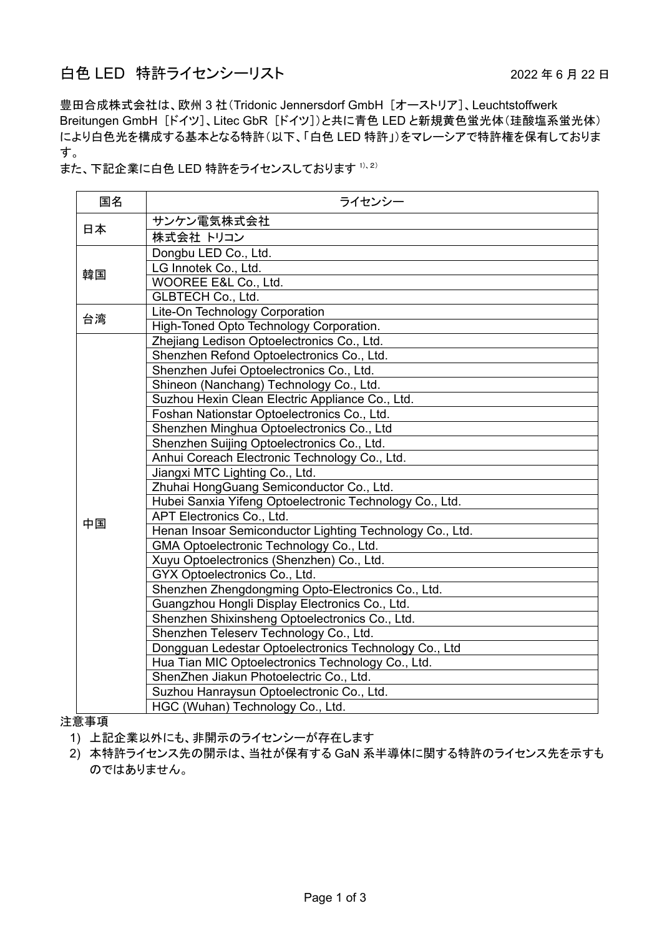## 白色 LED 特許ライセンシーリスト 2022年6月22日

豊田合成株式会社は、欧州 3 社(Tridonic Jennersdorf GmbH [オーストリア]、Leuchtstoffwerk Breitungen GmbH [ドイツ]、Litec GbR [ドイツ])と共に青色 LED と新規黄色蛍光体(珪酸塩系蛍光体) により白色光を構成する基本となる特許(以下、「白色 LED 特許」)をマレーシアで特許権を保有しておりま す。

また、下記企業に白色 LED 特許をライセンスしております 1)、2)

| 国名 | ライセンシー                                                   |
|----|----------------------------------------------------------|
| 日本 | サンケン電気株式会社                                               |
|    | 株式会社 トリコン                                                |
| 韓国 | Dongbu LED Co., Ltd.                                     |
|    | LG Innotek Co., Ltd.                                     |
|    | WOOREE E&L Co., Ltd.                                     |
|    | <b>GLBTECH Co., Ltd.</b>                                 |
| 台湾 | Lite-On Technology Corporation                           |
|    | High-Toned Opto Technology Corporation.                  |
|    | Zhejiang Ledison Optoelectronics Co., Ltd.               |
|    | Shenzhen Refond Optoelectronics Co., Ltd.                |
|    | Shenzhen Jufei Optoelectronics Co., Ltd.                 |
|    | Shineon (Nanchang) Technology Co., Ltd.                  |
|    | Suzhou Hexin Clean Electric Appliance Co., Ltd.          |
|    | Foshan Nationstar Optoelectronics Co., Ltd.              |
|    | Shenzhen Minghua Optoelectronics Co., Ltd                |
|    | Shenzhen Suijing Optoelectronics Co., Ltd.               |
|    | Anhui Coreach Electronic Technology Co., Ltd.            |
|    | Jiangxi MTC Lighting Co., Ltd.                           |
|    | Zhuhai HongGuang Semiconductor Co., Ltd.                 |
|    | Hubei Sanxia Yifeng Optoelectronic Technology Co., Ltd.  |
| 中国 | APT Electronics Co., Ltd.                                |
|    | Henan Insoar Semiconductor Lighting Technology Co., Ltd. |
|    | GMA Optoelectronic Technology Co., Ltd.                  |
|    | Xuyu Optoelectronics (Shenzhen) Co., Ltd.                |
|    | GYX Optoelectronics Co., Ltd.                            |
|    | Shenzhen Zhengdongming Opto-Electronics Co., Ltd.        |
|    | Guangzhou Hongli Display Electronics Co., Ltd.           |
|    | Shenzhen Shixinsheng Optoelectronics Co., Ltd.           |
|    | Shenzhen Teleserv Technology Co., Ltd.                   |
|    | Dongguan Ledestar Optoelectronics Technology Co., Ltd    |
|    | Hua Tian MIC Optoelectronics Technology Co., Ltd.        |
|    | ShenZhen Jiakun Photoelectric Co., Ltd.                  |
|    | Suzhou Hanraysun Optoelectronic Co., Ltd.                |
|    | HGC (Wuhan) Technology Co., Ltd.                         |

注意事項

1) 上記企業以外にも、非開示のライセンシーが存在します

2) 本特許ライセンス先の開示は、当社が保有する GaN 系半導体に関する特許のライセンス先を示すも のではありません。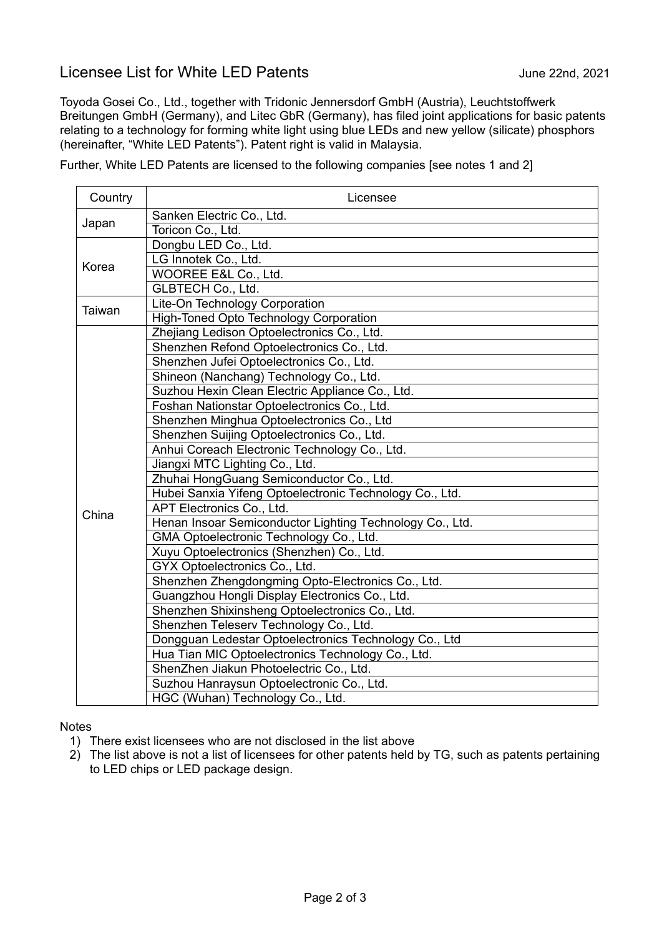## Licensee List for White LED Patents **Fig. 2021** June 22nd, 2021

Toyoda Gosei Co., Ltd., together with Tridonic Jennersdorf GmbH (Austria), Leuchtstoffwerk Breitungen GmbH (Germany), and Litec GbR (Germany), has filed joint applications for basic patents relating to a technology for forming white light using blue LEDs and new yellow (silicate) phosphors (hereinafter, "White LED Patents"). Patent right is valid in Malaysia.

Further, White LED Patents are licensed to the following companies [see notes 1 and 2]

| Country | Licensee                                                 |  |  |
|---------|----------------------------------------------------------|--|--|
| Japan   | Sanken Electric Co., Ltd.                                |  |  |
|         | Toricon Co., Ltd.                                        |  |  |
| Korea   | Dongbu LED Co., Ltd.                                     |  |  |
|         | LG Innotek Co., Ltd.                                     |  |  |
|         | WOOREE E&L Co., Ltd.                                     |  |  |
|         | <b>GLBTECH Co., Ltd.</b>                                 |  |  |
| Taiwan  | Lite-On Technology Corporation                           |  |  |
|         | <b>High-Toned Opto Technology Corporation</b>            |  |  |
|         | Zhejiang Ledison Optoelectronics Co., Ltd.               |  |  |
|         | Shenzhen Refond Optoelectronics Co., Ltd.                |  |  |
|         | Shenzhen Jufei Optoelectronics Co., Ltd.                 |  |  |
|         | Shineon (Nanchang) Technology Co., Ltd.                  |  |  |
|         | Suzhou Hexin Clean Electric Appliance Co., Ltd.          |  |  |
|         | Foshan Nationstar Optoelectronics Co., Ltd.              |  |  |
|         | Shenzhen Minghua Optoelectronics Co., Ltd                |  |  |
|         | Shenzhen Suijing Optoelectronics Co., Ltd.               |  |  |
|         | Anhui Coreach Electronic Technology Co., Ltd.            |  |  |
|         | Jiangxi MTC Lighting Co., Ltd.                           |  |  |
|         | Zhuhai HongGuang Semiconductor Co., Ltd.                 |  |  |
|         | Hubei Sanxia Yifeng Optoelectronic Technology Co., Ltd.  |  |  |
| China   | APT Electronics Co., Ltd.                                |  |  |
|         | Henan Insoar Semiconductor Lighting Technology Co., Ltd. |  |  |
|         | GMA Optoelectronic Technology Co., Ltd.                  |  |  |
|         | Xuyu Optoelectronics (Shenzhen) Co., Ltd.                |  |  |
|         | GYX Optoelectronics Co., Ltd.                            |  |  |
|         | Shenzhen Zhengdongming Opto-Electronics Co., Ltd.        |  |  |
|         | Guangzhou Hongli Display Electronics Co., Ltd.           |  |  |
|         | Shenzhen Shixinsheng Optoelectronics Co., Ltd.           |  |  |
|         | Shenzhen Teleserv Technology Co., Ltd.                   |  |  |
|         | Dongguan Ledestar Optoelectronics Technology Co., Ltd    |  |  |
|         | Hua Tian MIC Optoelectronics Technology Co., Ltd.        |  |  |
|         | ShenZhen Jiakun Photoelectric Co., Ltd.                  |  |  |
|         | Suzhou Hanraysun Optoelectronic Co., Ltd.                |  |  |
|         | HGC (Wuhan) Technology Co., Ltd.                         |  |  |

## **Notes**

- 1) There exist licensees who are not disclosed in the list above
- 2) The list above is not a list of licensees for other patents held by TG, such as patents pertaining to LED chips or LED package design.